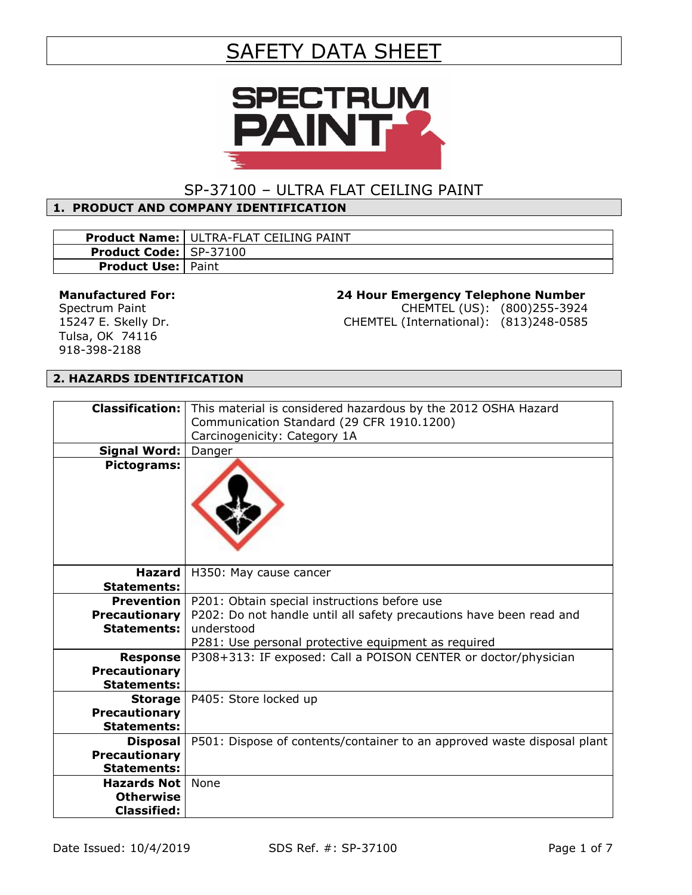# SAFETY DATA SHEET



# SP-37100 – ULTRA FLAT CEILING PAINT

## **1. PRODUCT AND COMPANY IDENTIFICATION**

|                                 | <b>Product Name:   ULTRA-FLAT CEILING PAINT</b> |
|---------------------------------|-------------------------------------------------|
| <b>Product Code:   SP-37100</b> |                                                 |
| <b>Product Use:   Paint</b>     |                                                 |

#### **Manufactured For:**

Spectrum Paint 15247 E. Skelly Dr. Tulsa, OK 74116 918-398-2188

### **24 Hour Emergency Telephone Number**

CHEMTEL (US): (800)255-3924 CHEMTEL (International): (813)248-0585

#### **2. HAZARDS IDENTIFICATION**

| <b>Classification:</b> | This material is considered hazardous by the 2012 OSHA Hazard           |  |
|------------------------|-------------------------------------------------------------------------|--|
|                        | Communication Standard (29 CFR 1910.1200)                               |  |
|                        | Carcinogenicity: Category 1A                                            |  |
| <b>Signal Word:</b>    | Danger                                                                  |  |
| Pictograms:            |                                                                         |  |
|                        |                                                                         |  |
| <b>Hazard</b>          | H350: May cause cancer                                                  |  |
| <b>Statements:</b>     |                                                                         |  |
| <b>Prevention</b>      | P201: Obtain special instructions before use                            |  |
| <b>Precautionary</b>   | P202: Do not handle until all safety precautions have been read and     |  |
| <b>Statements:</b>     | understood                                                              |  |
|                        | P281: Use personal protective equipment as required                     |  |
| <b>Response</b>        | P308+313: IF exposed: Call a POISON CENTER or doctor/physician          |  |
| <b>Precautionary</b>   |                                                                         |  |
| <b>Statements:</b>     |                                                                         |  |
| <b>Storage</b>         | P405: Store locked up                                                   |  |
| <b>Precautionary</b>   |                                                                         |  |
| <b>Statements:</b>     |                                                                         |  |
| <b>Disposal</b>        | P501: Dispose of contents/container to an approved waste disposal plant |  |
| <b>Precautionary</b>   |                                                                         |  |
| <b>Statements:</b>     |                                                                         |  |
| <b>Hazards Not</b>     | <b>None</b>                                                             |  |
| <b>Otherwise</b>       |                                                                         |  |
| <b>Classified:</b>     |                                                                         |  |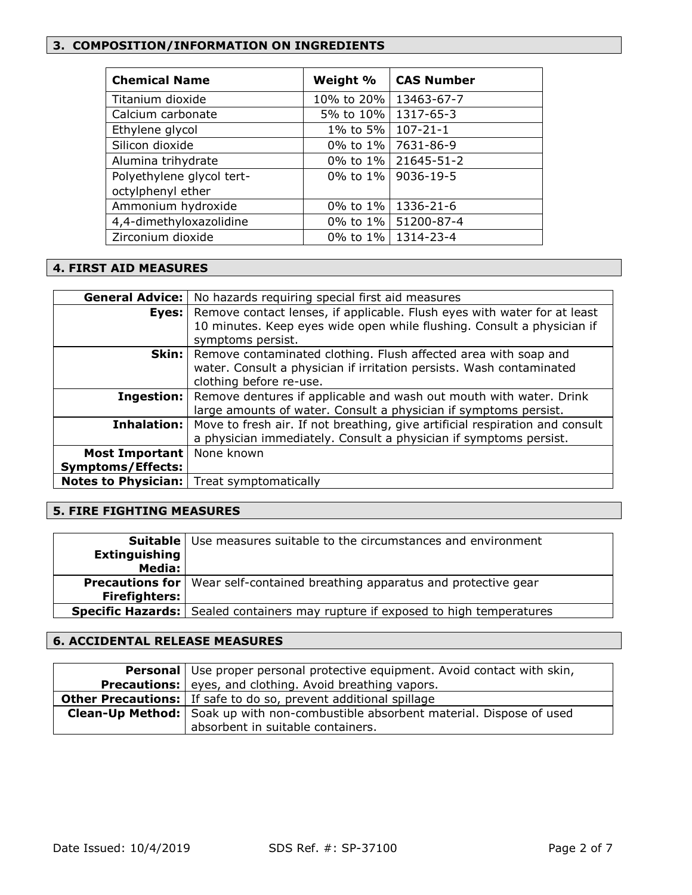#### **3. COMPOSITION/INFORMATION ON INGREDIENTS**

| <b>Chemical Name</b>      | Weight %                | <b>CAS Number</b>     |
|---------------------------|-------------------------|-----------------------|
| Titanium dioxide          | 10% to 20%   13463-67-7 |                       |
| Calcium carbonate         | 5% to 10%               | 1317-65-3             |
| Ethylene glycol           | 1% to 5%                | $107 - 21 - 1$        |
| Silicon dioxide           | 0% to 1%                | 7631-86-9             |
| Alumina trihydrate        |                         | 0% to 1% 21645-51-2   |
| Polyethylene glycol tert- |                         | 0% to 1%   9036-19-5  |
| octylphenyl ether         |                         |                       |
| Ammonium hydroxide        | 0% to 1%                | 1336-21-6             |
| 4,4-dimethyloxazolidine   |                         | 0% to 1%   51200-87-4 |
| Zirconium dioxide         |                         | 0% to 1%   1314-23-4  |

#### **4. FIRST AID MEASURES**

| <b>General Advice:</b>   | No hazards requiring special first aid measures                              |  |
|--------------------------|------------------------------------------------------------------------------|--|
| Eyes:                    | Remove contact lenses, if applicable. Flush eyes with water for at least     |  |
|                          | 10 minutes. Keep eyes wide open while flushing. Consult a physician if       |  |
|                          | symptoms persist.                                                            |  |
| Skin:                    | Remove contaminated clothing. Flush affected area with soap and              |  |
|                          | water. Consult a physician if irritation persists. Wash contaminated         |  |
|                          | clothing before re-use.                                                      |  |
| Ingestion:               | Remove dentures if applicable and wash out mouth with water. Drink           |  |
|                          | large amounts of water. Consult a physician if symptoms persist.             |  |
| Inhalation:              | Move to fresh air. If not breathing, give artificial respiration and consult |  |
|                          | a physician immediately. Consult a physician if symptoms persist.            |  |
| Most Important           | None known                                                                   |  |
| <b>Symptoms/Effects:</b> |                                                                              |  |
|                          | <b>Notes to Physician:</b>   Treat symptomatically                           |  |

#### **5. FIRE FIGHTING MEASURES**

| Suitable             | Use measures suitable to the circumstances and environment                             |  |
|----------------------|----------------------------------------------------------------------------------------|--|
| <b>Extinguishing</b> |                                                                                        |  |
| Media:               |                                                                                        |  |
|                      | <b>Precautions for</b>   Wear self-contained breathing apparatus and protective gear   |  |
| <b>Firefighters:</b> |                                                                                        |  |
|                      | <b>Specific Hazards:</b> Sealed containers may rupture if exposed to high temperatures |  |

## **6. ACCIDENTAL RELEASE MEASURES**

| <b>Personal</b> Use proper personal protective equipment. Avoid contact with skin,       |  |
|------------------------------------------------------------------------------------------|--|
| <b>Precautions:</b> eyes, and clothing. Avoid breathing vapors.                          |  |
| <b>Other Precautions:</b> If safe to do so, prevent additional spillage                  |  |
| <b>Clean-Up Method:</b> Soak up with non-combustible absorbent material. Dispose of used |  |
| absorbent in suitable containers.                                                        |  |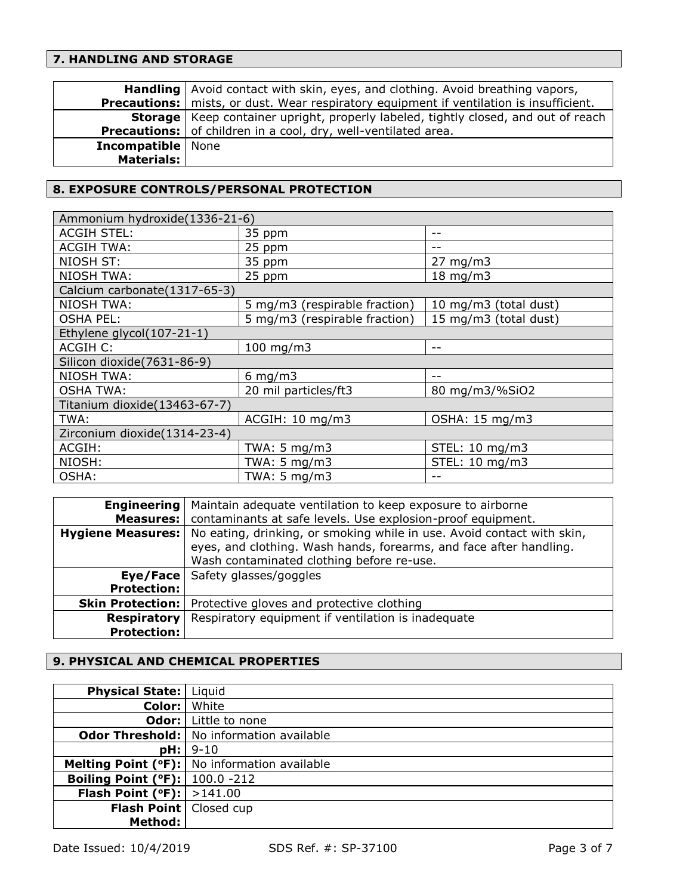# **7. HANDLING AND STORAGE**

|                            | <b>Handling</b> Avoid contact with skin, eyes, and clothing. Avoid breathing vapors,           |
|----------------------------|------------------------------------------------------------------------------------------------|
|                            | <b>Precautions:</b> mists, or dust. Wear respiratory equipment if ventilation is insufficient. |
|                            | <b>Storage</b>   Keep container upright, properly labeled, tightly closed, and out of reach    |
|                            | <b>Precautions:</b> of children in a cool, dry, well-ventilated area.                          |
| <b>Incompatible</b>   None |                                                                                                |
| <b>Materials:</b>          |                                                                                                |
|                            |                                                                                                |

## **8. EXPOSURE CONTROLS/PERSONAL PROTECTION**

| Ammonium hydroxide(1336-21-6) |                               |                       |  |
|-------------------------------|-------------------------------|-----------------------|--|
| <b>ACGIH STEL:</b>            | 35 ppm                        | --                    |  |
| <b>ACGIH TWA:</b>             | 25 ppm                        |                       |  |
| NIOSH ST:                     | 35 ppm                        | $27 \text{ mg/m}$     |  |
| <b>NIOSH TWA:</b>             | 25 ppm                        | $18 \text{ mg/m}$     |  |
| Calcium carbonate(1317-65-3)  |                               |                       |  |
| <b>NIOSH TWA:</b>             | 5 mg/m3 (respirable fraction) | 10 mg/m3 (total dust) |  |
| <b>OSHA PEL:</b>              | 5 mg/m3 (respirable fraction) | 15 mg/m3 (total dust) |  |
| Ethylene glycol(107-21-1)     |                               |                       |  |
| <b>ACGIH C:</b>               | $100$ mg/m $3$                | --                    |  |
| Silicon dioxide(7631-86-9)    |                               |                       |  |
| <b>NIOSH TWA:</b>             | $6$ mg/m $3$                  |                       |  |
| <b>OSHA TWA:</b>              | 20 mil particles/ft3          | 80 mg/m3/%SiO2        |  |
| Titanium dioxide(13463-67-7)  |                               |                       |  |
| TWA:                          | ACGIH: 10 mg/m3               | OSHA: 15 mg/m3        |  |
| Zirconium dioxide(1314-23-4)  |                               |                       |  |
| ACGIH:                        | TWA: 5 mg/m3                  | STEL: 10 mg/m3        |  |
| NIOSH:                        | TWA: $5 \text{ mg/m3}$        | STEL: 10 mg/m3        |  |
| OSHA:                         | TWA: $5 \text{ mg/m}$ 3       |                       |  |

| <b>Engineering</b>       | Maintain adequate ventilation to keep exposure to airborne             |  |
|--------------------------|------------------------------------------------------------------------|--|
| Measures:                | contaminants at safe levels. Use explosion-proof equipment.            |  |
| <b>Hygiene Measures:</b> | No eating, drinking, or smoking while in use. Avoid contact with skin, |  |
|                          | eyes, and clothing. Wash hands, forearms, and face after handling.     |  |
|                          | Wash contaminated clothing before re-use.                              |  |
|                          | <b>Eye/Face</b> Safety glasses/goggles                                 |  |
| <b>Protection:</b>       |                                                                        |  |
| <b>Skin Protection:</b>  | Protective gloves and protective clothing                              |  |
| <b>Respiratory</b>       | Respiratory equipment if ventilation is inadequate                     |  |
| <b>Protection:</b>       |                                                                        |  |

# **9. PHYSICAL AND CHEMICAL PROPERTIES**

| <b>Physical State:</b>                     | Liquid                                          |
|--------------------------------------------|-------------------------------------------------|
| Color:                                     | White                                           |
|                                            | <b>Odor:</b> Little to none                     |
|                                            | <b>Odor Threshold:</b> No information available |
| pH:                                        | $9 - 10$                                        |
|                                            | Melting Point (°F):   No information available  |
| <b>Boiling Point (°F):</b> $  100.0 - 212$ |                                                 |
| <b>Flash Point (°F):</b> $  > 141.00$      |                                                 |
| Flash Point   Closed cup                   |                                                 |
| <b>Method:</b>                             |                                                 |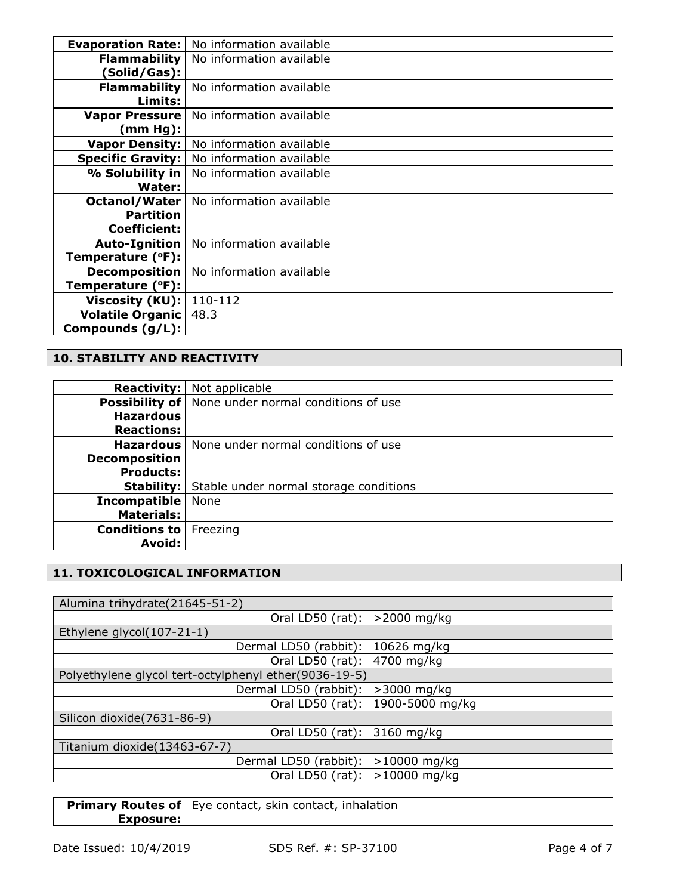| <b>Evaporation Rate:</b> | No information available |
|--------------------------|--------------------------|
| <b>Flammability</b>      | No information available |
| (Solid/Gas):             |                          |
| <b>Flammability</b>      | No information available |
| Limits:                  |                          |
| <b>Vapor Pressure</b>    | No information available |
| (mm Hg):                 |                          |
| <b>Vapor Density:</b>    | No information available |
| <b>Specific Gravity:</b> | No information available |
| $%$ Solubility in        | No information available |
| Water:                   |                          |
| Octanol/Water            | No information available |
| <b>Partition</b>         |                          |
| Coefficient:             |                          |
| Auto-Ignition            | No information available |
| Temperature (°F):        |                          |
| <b>Decomposition</b>     | No information available |
| Temperature (°F):        |                          |
| Viscosity (KU):          | 110-112                  |
| <b>Volatile Organic</b>  | 48.3                     |
| Compounds (g/L):         |                          |

## **10. STABILITY AND REACTIVITY**

|                      | <b>Reactivity:</b> Not applicable                           |  |
|----------------------|-------------------------------------------------------------|--|
|                      | <b>Possibility of</b>   None under normal conditions of use |  |
| <b>Hazardous</b>     |                                                             |  |
| <b>Reactions:</b>    |                                                             |  |
|                      | <b>Hazardous</b>   None under normal conditions of use      |  |
| <b>Decomposition</b> |                                                             |  |
| <b>Products:</b>     |                                                             |  |
| Stability:           | Stable under normal storage conditions                      |  |
| <b>Incompatible</b>  | None                                                        |  |
| <b>Materials:</b>    |                                                             |  |
| Conditions to        | Freezing                                                    |  |
| Avoid:               |                                                             |  |

# **11. TOXICOLOGICAL INFORMATION**

| Oral LD50 (rat):   >2000 mg/kg                        |
|-------------------------------------------------------|
|                                                       |
| 10626 mg/kg                                           |
| Oral LD50 (rat):<br>4700 mg/kg                        |
| Polyethylene glycol tert-octylphenyl ether(9036-19-5) |
| $>3000$ mg/kg<br>Dermal LD50 (rabbit):                |
| 1900-5000 mg/kg<br>Oral LD50 (rat):                   |
|                                                       |
| Oral LD50 (rat): 3160 mg/kg                           |
|                                                       |
| Dermal LD50 (rabbit):<br>$>10000$ mg/kg               |
| $>10000$ mg/kg<br>Oral LD50 (rat):                    |
| Dermal LD50 (rabbit):                                 |

**Primary Routes of Exposure:** Eye contact, skin contact, inhalation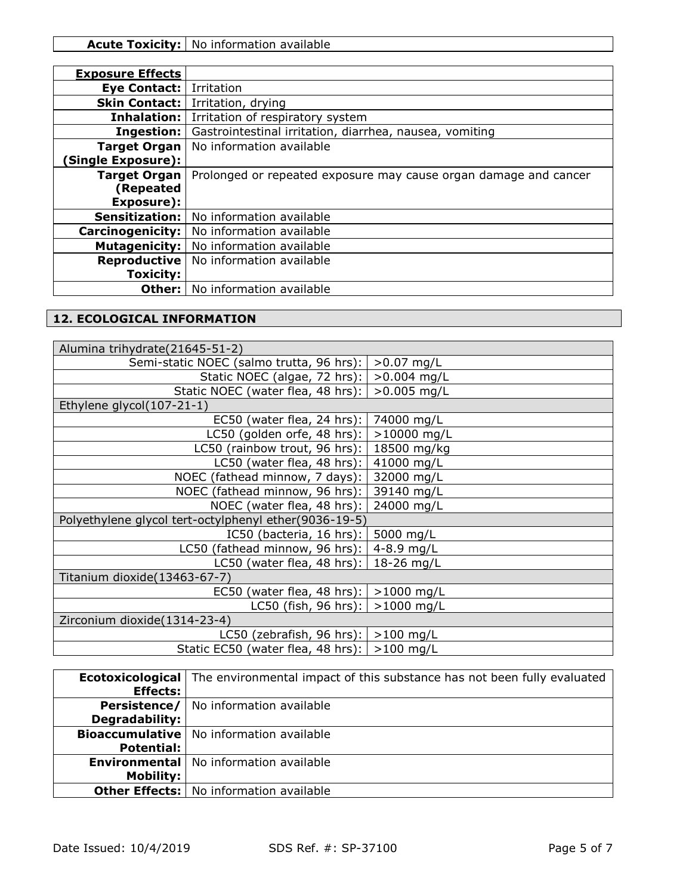| <b>Exposure Effects</b>  |                                                                  |
|--------------------------|------------------------------------------------------------------|
| Eye Contact:             | Irritation                                                       |
| <b>Skin Contact:</b>     | Irritation, drying                                               |
| Inhalation:              | Irritation of respiratory system                                 |
| <b>Ingestion:</b>        | Gastrointestinal irritation, diarrhea, nausea, vomiting          |
| <b>Target Organ</b>      | No information available                                         |
| <b>Single Exposure):</b> |                                                                  |
| <b>Target Organ</b>      | Prolonged or repeated exposure may cause organ damage and cancer |
| (Repeated                |                                                                  |
| Exposure):               |                                                                  |
| <b>Sensitization:</b>    | No information available                                         |
| <b>Carcinogenicity:</b>  | No information available                                         |
| Mutagenicity:            | No information available                                         |
| <b>Reproductive</b>      | No information available                                         |
| <b>Toxicity:</b>         |                                                                  |
| Other:                   | No information available                                         |

# **12. ECOLOGICAL INFORMATION**

| Alumina trihydrate (21645-51-2)                       |               |
|-------------------------------------------------------|---------------|
| Semi-static NOEC (salmo trutta, 96 hrs):              | $>0.07$ mg/L  |
| Static NOEC (algae, 72 hrs):                          | $>0.004$ mg/L |
| Static NOEC (water flea, 48 hrs):                     | $>0.005$ mg/L |
| Ethylene glycol(107-21-1)                             |               |
| EC50 (water flea, 24 hrs): $ $                        | 74000 mg/L    |
| LC50 (golden orfe, 48 hrs): $\vert$                   | $>10000$ mg/L |
| LC50 (rainbow trout, 96 hrs): $\vert$ 18500 mg/kg     |               |
| LC50 (water flea, 48 hrs): $ $                        | 41000 mg/L    |
| NOEC (fathead minnow, 7 days):                        | 32000 mg/L    |
| NOEC (fathead minnow, 96 hrs):                        | 39140 mg/L    |
| NOEC (water flea, 48 hrs):                            | 24000 mg/L    |
| Polyethylene glycol tert-octylphenyl ether(9036-19-5) |               |
| IC50 (bacteria, 16 hrs):                              | 5000 mg/L     |
| LC50 (fathead minnow, 96 hrs):                        | 4-8.9 $mg/L$  |
| LC50 (water flea, 48 hrs):   18-26 mg/L               |               |
| Titanium dioxide(13463-67-7)                          |               |
| EC50 (water flea, 48 hrs): $  > 1000$ mg/L            |               |
| LC50 (fish, 96 hrs): $  > 1000$ mg/L                  |               |
| Zirconium dioxide(1314-23-4)                          |               |
| LC50 (zebrafish, 96 hrs): $  > 100$ mg/L              |               |
| Static EC50 (water flea, 48 hrs):   >100 mg/L         |               |

|                       | <b>Ecotoxicological</b> The environmental impact of this substance has not been fully evaluated |
|-----------------------|-------------------------------------------------------------------------------------------------|
| <b>Effects:</b>       |                                                                                                 |
|                       | <b>Persistence/</b>   No information available                                                  |
| <b>Degradability:</b> |                                                                                                 |
|                       | <b>Bioaccumulative</b>   No information available                                               |
| <b>Potential:</b>     |                                                                                                 |
|                       | <b>Environmental</b>   No information available                                                 |
| <b>Mobility:</b>      |                                                                                                 |
|                       | <b>Other Effects:</b>   No information available                                                |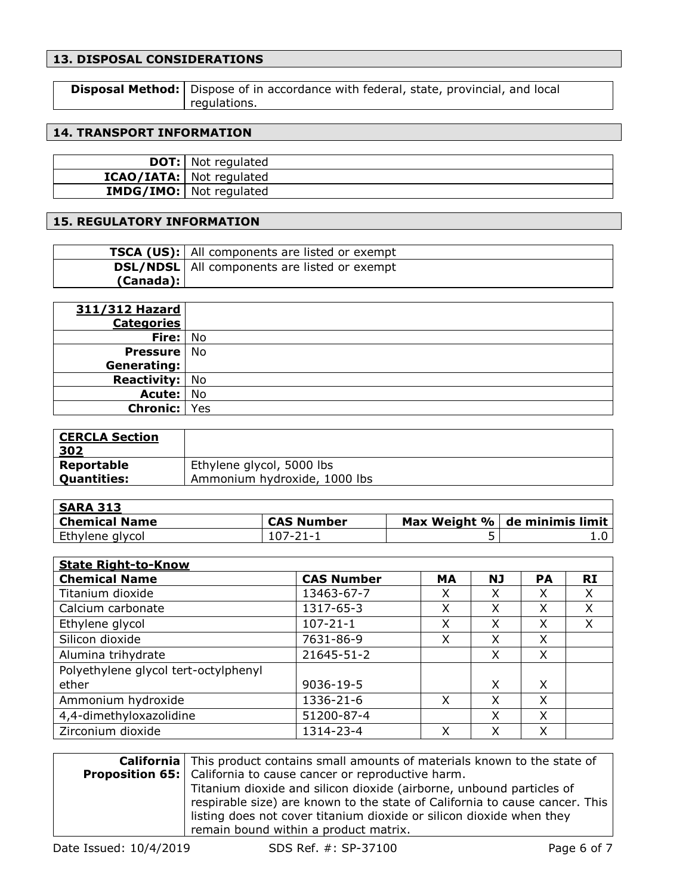## **13. DISPOSAL CONSIDERATIONS**

| <b>Disposal Method:</b> Dispose of in accordance with federal, state, provincial, and local |
|---------------------------------------------------------------------------------------------|
| regulations.                                                                                |

## **14. TRANSPORT INFORMATION**

| <b>DOT:</b> Not regulated       |
|---------------------------------|
| <b>ICAO/IATA:</b> Not regulated |
| <b>IMDG/IMO:</b> Not regulated  |

## **15. REGULATORY INFORMATION**

|           | <b>TSCA (US):</b> All components are listed or exempt |
|-----------|-------------------------------------------------------|
|           | <b>DSL/NDSL</b>   All components are listed or exempt |
| (Canada): |                                                       |

| 311/312 Hazard        |  |
|-----------------------|--|
| <b>Categories</b>     |  |
| Fire: No              |  |
| <b>Pressure</b> No    |  |
| Generating:           |  |
| <b>Reactivity:</b> No |  |
| Acute:   No           |  |
| <b>Chronic:</b> Yes   |  |

| <b>CERCLA Section</b><br>302 |                              |
|------------------------------|------------------------------|
| Reportable                   | Ethylene glycol, 5000 lbs    |
| <b>Quantities:</b>           | Ammonium hydroxide, 1000 lbs |

| <b>SARA 313</b>      |                   |   |                               |
|----------------------|-------------------|---|-------------------------------|
| <b>Chemical Name</b> | <b>CAS Number</b> |   | Max Weight % de minimis limit |
| Ethylene glycol      | $107 - 21 - 1$    | ້ |                               |

| <b>State Right-to-Know</b>           |                   |           |           |           |           |
|--------------------------------------|-------------------|-----------|-----------|-----------|-----------|
| <b>Chemical Name</b>                 | <b>CAS Number</b> | <b>MA</b> | <b>NJ</b> | <b>PA</b> | <b>RI</b> |
| Titanium dioxide                     | 13463-67-7        | X         | X         | X         | X         |
| Calcium carbonate                    | 1317-65-3         | x         | X         | x         | X         |
| Ethylene glycol                      | $107 - 21 - 1$    | x         | X         | x         | X         |
| Silicon dioxide                      | 7631-86-9         | X         | X         | Χ         |           |
| Alumina trihydrate                   | 21645-51-2        |           | X         | X         |           |
| Polyethylene glycol tert-octylphenyl |                   |           |           |           |           |
| ether                                | 9036-19-5         |           | X         | X         |           |
| Ammonium hydroxide                   | 1336-21-6         | X         | X         | X         |           |
| 4,4-dimethyloxazolidine              | 51200-87-4        |           | X         | X         |           |
| Zirconium dioxide                    | 1314-23-4         | Χ         | X         | X         |           |

| <b>California</b> This product contains small amounts of materials known to the state of |
|------------------------------------------------------------------------------------------|
| <b>Proposition 65:</b> California to cause cancer or reproductive harm.                  |
| Titanium dioxide and silicon dioxide (airborne, unbound particles of                     |
| respirable size) are known to the state of California to cause cancer. This              |
| listing does not cover titanium dioxide or silicon dioxide when they                     |
| remain bound within a product matrix.                                                    |